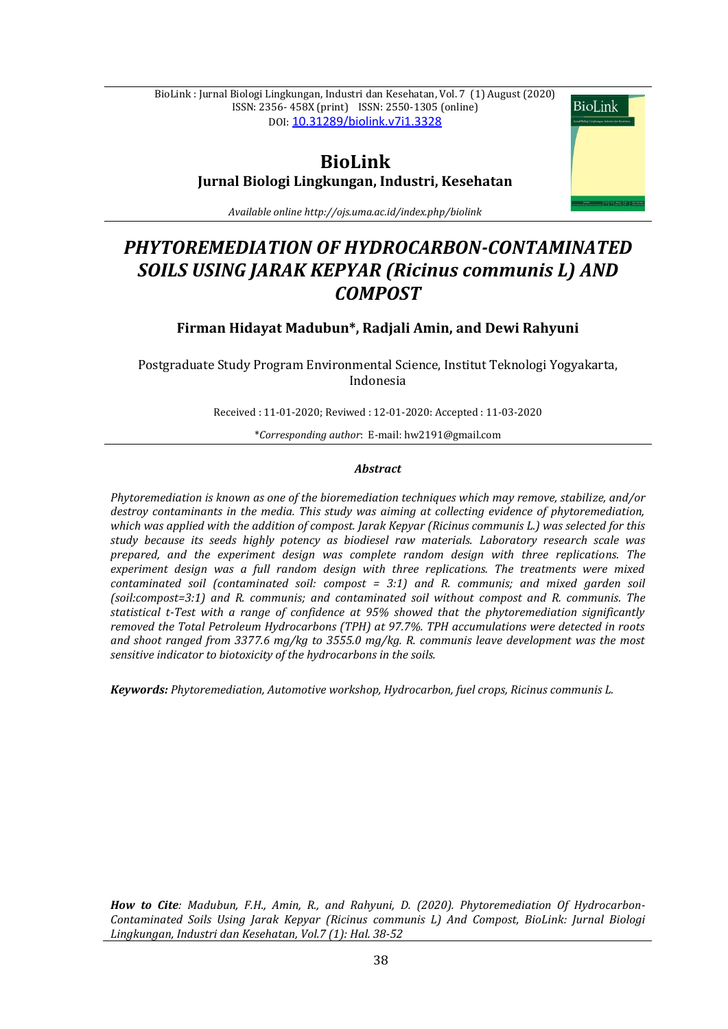BioLink : Jurnal Biologi Lingkungan, Industri dan Kesehatan, Vol. 7 (1) August (2020) ISSN: 2356- 458X (print) ISSN: 2550-1305 (online) DOI: [10.31289/biolink.v7i1.3328](http://dx.doi.org/10.31289/biolink.v7i1.3328)

**BioLink** 

# **BioLink Jurnal Biologi Lingkungan, Industri, Kesehatan**

*Available online http://ojs.uma.ac.id/index.php/biolink*

# *PHYTOREMEDIATION OF HYDROCARBON-CONTAMINATED SOILS USING JARAK KEPYAR (Ricinus communis L) AND COMPOST*

# **Firman Hidayat Madubun\*, Radjali Amin, and Dewi Rahyuni**

Postgraduate Study Program Environmental Science, Institut Teknologi Yogyakarta, Indonesia

Received : 11-01-2020; Reviwed : 12-01-2020: Accepted : 11-03-2020

\**Corresponding author*: E-mail: [hw2191@gmail.com](mailto:hw2191@gmail.com)

### *Abstract*

*Phytoremediation is known as one of the bioremediation techniques which may remove, stabilize, and/or destroy contaminants in the media. This study was aiming at collecting evidence of phytoremediation, which was applied with the addition of compost. Jarak Kepyar (Ricinus communis L.) was selected for this study because its seeds highly potency as biodiesel raw materials. Laboratory research scale was prepared, and the experiment design was complete random design with three replications. The experiment design was a full random design with three replications. The treatments were mixed contaminated soil (contaminated soil: compost = 3:1) and R. communis; and mixed garden soil (soil:compost=3:1) and R. communis; and contaminated soil without compost and R. communis. The statistical t-Test with a range of confidence at 95% showed that the phytoremediation significantly removed the Total Petroleum Hydrocarbons (TPH) at 97.7%. TPH accumulations were detected in roots and shoot ranged from 3377.6 mg/kg to 3555.0 mg/kg. R. communis leave development was the most sensitive indicator to biotoxicity of the hydrocarbons in the soils.*

*Keywords: Phytoremediation, Automotive workshop, Hydrocarbon, fuel crops, Ricinus communis L.*

*How to Cite: Madubun, F.H., Amin, R., and Rahyuni, D. (2020). Phytoremediation Of Hydrocarbon-Contaminated Soils Using Jarak Kepyar (Ricinus communis L) And Compost, BioLink: Jurnal Biologi Lingkungan, Industri dan Kesehatan, Vol.7 (1): Hal. 38-52*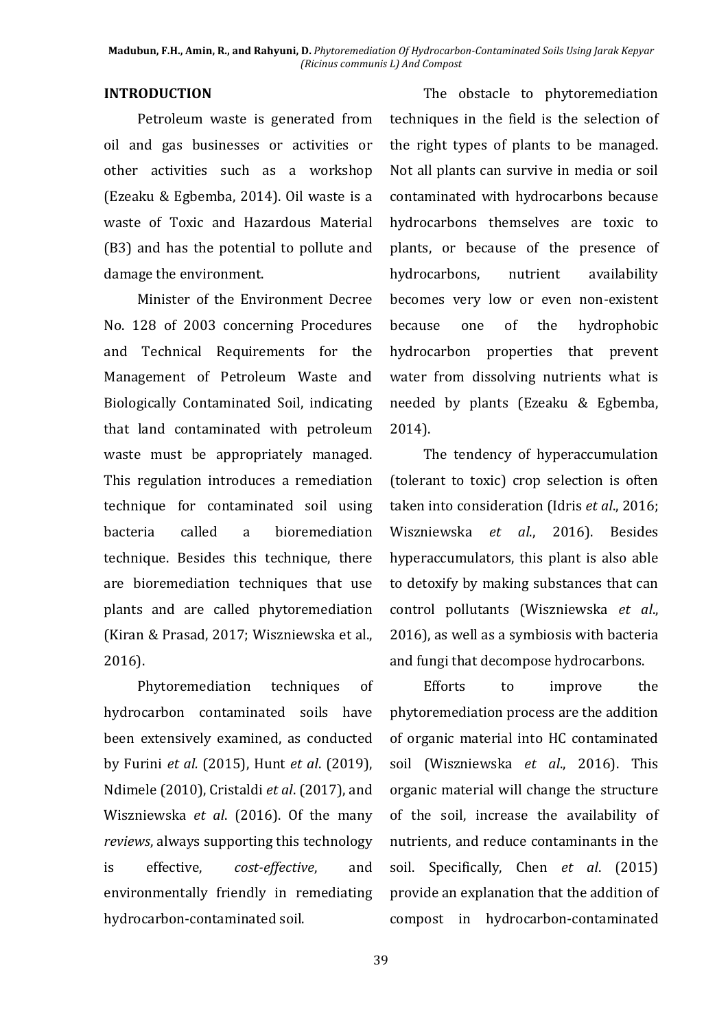## **INTRODUCTION**

Petroleum waste is generated from oil and gas businesses or activities or other activities such as a workshop (Ezeaku & Egbemba, 2014). Oil waste is a waste of Toxic and Hazardous Material (B3) and has the potential to pollute and damage the environment.

Minister of the Environment Decree No. 128 of 2003 concerning Procedures and Technical Requirements for the Management of Petroleum Waste and Biologically Contaminated Soil, indicating that land contaminated with petroleum waste must be appropriately managed. This regulation introduces a remediation technique for contaminated soil using bacteria called a bioremediation technique. Besides this technique, there are bioremediation techniques that use plants and are called phytoremediation (Kiran & Prasad, 2017; Wiszniewska et al., 2016).

Phytoremediation techniques of hydrocarbon contaminated soils have been extensively examined, as conducted by Furini *et al.* (2015), Hunt *et al*. (2019), Ndimele (2010), Cristaldi *et al*. (2017), and Wiszniewska *et al*. (2016). Of the many *reviews*, always supporting this technology is effective, *cost-effective*, and environmentally friendly in remediating hydrocarbon-contaminated soil.

The obstacle to phytoremediation techniques in the field is the selection of the right types of plants to be managed. Not all plants can survive in media or soil contaminated with hydrocarbons because hydrocarbons themselves are toxic to plants, or because of the presence of hydrocarbons, nutrient availability becomes very low or even non-existent because one of the hydrophobic hydrocarbon properties that prevent water from dissolving nutrients what is needed by plants (Ezeaku & Egbemba, 2014).

The tendency of hyperaccumulation (tolerant to toxic) crop selection is often taken into consideration (Idris *et al*., 2016; Wiszniewska *et al*., 2016). Besides hyperaccumulators, this plant is also able to detoxify by making substances that can control pollutants (Wiszniewska *et al*., 2016), as well as a symbiosis with bacteria and fungi that decompose hydrocarbons.

Efforts to improve the phytoremediation process are the addition of organic material into HC contaminated soil (Wiszniewska *et al*., 2016). This organic material will change the structure of the soil, increase the availability of nutrients, and reduce contaminants in the soil. Specifically, Chen *et al*. (2015) provide an explanation that the addition of compost in hydrocarbon-contaminated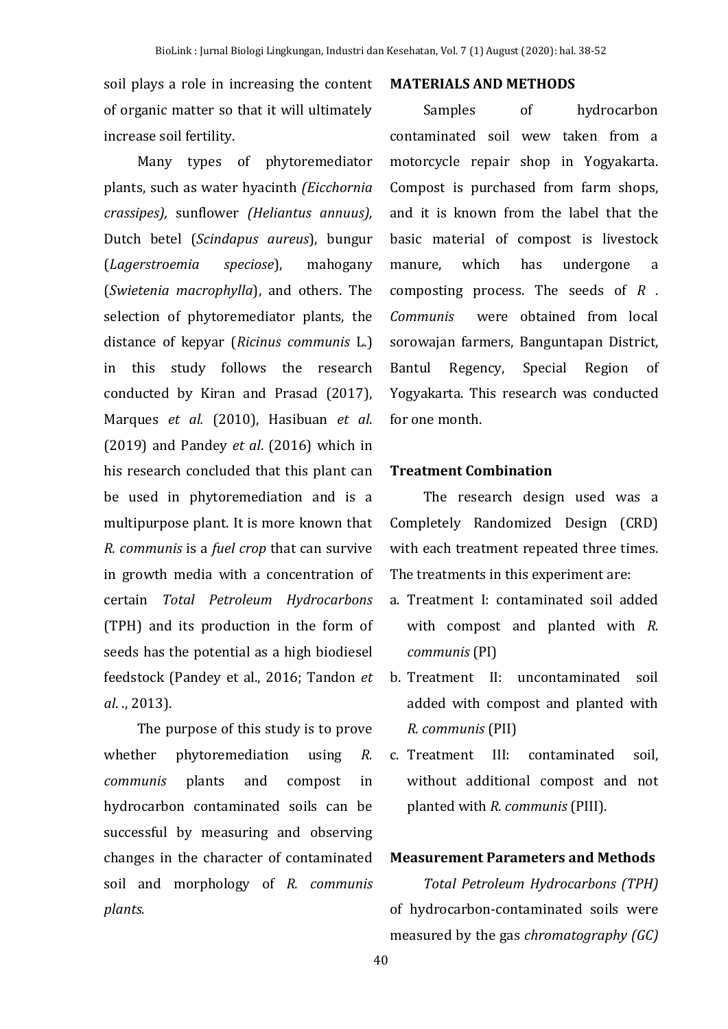soil plays a role in increasing the content of organic matter so that it will ultimately increase soil fertility.

Many types of phytoremediator plants, such as water hyacinth *(Eicchornia crassipes),* sunflower *(Heliantus annuus),* Dutch betel (*Scindapus aureus*), bungur (*Lagerstroemia speciose*), mahogany (*Swietenia macrophylla*), and others. The selection of phytoremediator plants, the distance of kepyar (*Ricinus communis* L.) in this study follows the research conducted by Kiran and Prasad (2017), Marques *et al.* (2010), Hasibuan *et al*. (2019) and Pandey *et al*. (2016) which in his research concluded that this plant can be used in phytoremediation and is a multipurpose plant. It is more known that *R. communis* is a *fuel crop* that can survive in growth media with a concentration of certain *Total Petroleum Hydrocarbons*  (TPH) and its production in the form of seeds has the potential as a high biodiesel feedstock (Pandey et al., 2016; Tandon *et al*. ., 2013).

The purpose of this study is to prove whether phytoremediation using *R. communis* plants and compost in hydrocarbon contaminated soils can be successful by measuring and observing changes in the character of contaminated soil and morphology of *R. communis plants.*

## **MATERIALS AND METHODS**

Samples of hydrocarbon contaminated soil wew taken from a motorcycle repair shop in Yogyakarta. Compost is purchased from farm shops, and it is known from the label that the basic material of compost is livestock manure, which has undergone a composting process. The seeds of *R . Communis* were obtained from local sorowajan farmers, Banguntapan District, Bantul Regency, Special Region of Yogyakarta. This research was conducted for one month.

### **Treatment Combination**

The research design used was a Completely Randomized Design (CRD) with each treatment repeated three times. The treatments in this experiment are:

- a. Treatment I: contaminated soil added with compost and planted with *R. communis* (PI)
- b. Treatment II: uncontaminated soil added with compost and planted with *R. communis* (PII)
- c. Treatment III: contaminated soil, without additional compost and not planted with *R. communis* (PIII).

# **Measurement Parameters and Methods**

*Total Petroleum Hydrocarbons (TPH)* of hydrocarbon-contaminated soils were measured by the gas *chromatography (GC)*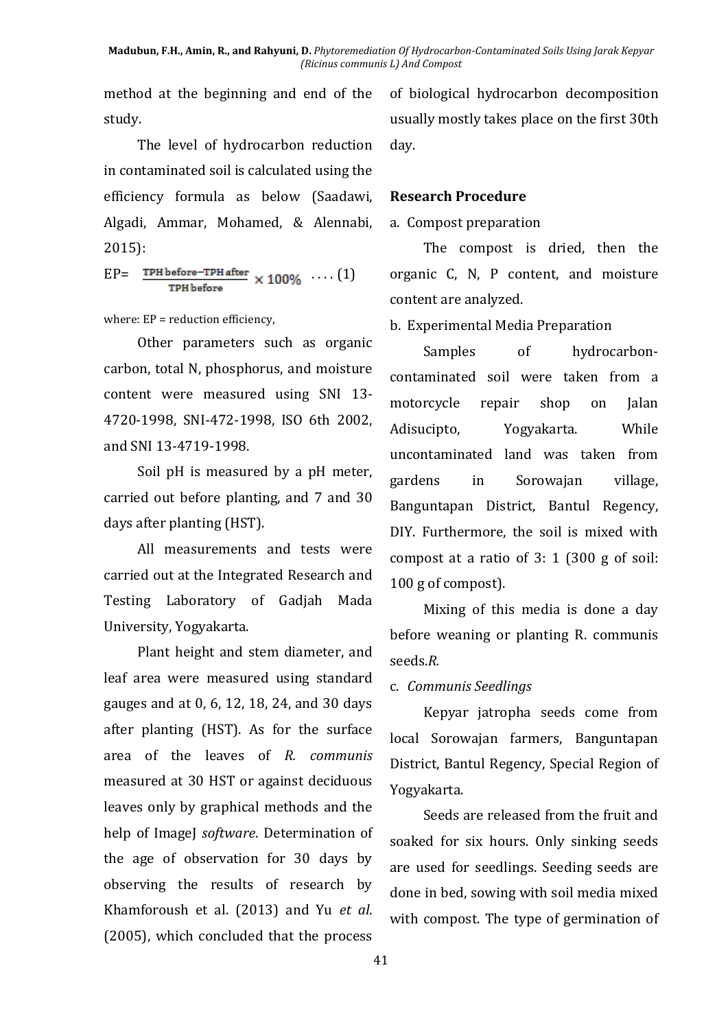method at the beginning and end of the study.

The level of hydrocarbon reduction in contaminated soil is calculated using the efficiency formula as below (Saadawi, Algadi, Ammar, Mohamed, & Alennabi, 2015):

 $EP = \frac{TPH\text{ before}-TPH\text{ after}}{T} \times 100\% \cdots (1)$ 

where:  $EP = reduction$  efficiency,

Other parameters such as organic carbon, total N, phosphorus, and moisture content were measured using SNI 13- 4720-1998, SNI-472-1998, ISO 6th 2002, and SNI 13-4719-1998.

Soil pH is measured by a pH meter, carried out before planting, and 7 and 30 days after planting (HST).

All measurements and tests were carried out at the Integrated Research and Testing Laboratory of Gadjah Mada University, Yogyakarta.

Plant height and stem diameter, and leaf area were measured using standard gauges and at 0, 6, 12, 18, 24, and 30 days after planting (HST). As for the surface area of the leaves of *R. communis* measured at 30 HST or against deciduous leaves only by graphical methods and the help of ImageJ *software*. Determination of the age of observation for 30 days by observing the results of research by Khamforoush et al. (2013) and Yu *et al*. (2005), which concluded that the process

of biological hydrocarbon decomposition usually mostly takes place on the first 30th day.

# **Research Procedure**

# a. Compost preparation

The compost is dried, then the organic C, N, P content, and moisture content are analyzed.

b. Experimental Media Preparation

Samples of hydrocarboncontaminated soil were taken from a motorcycle repair shop on Jalan Adisucipto, Yogyakarta. While uncontaminated land was taken from gardens in Sorowajan village, Banguntapan District, Bantul Regency, DIY. Furthermore, the soil is mixed with compost at a ratio of 3: 1 (300 g of soil: 100 g of compost).

Mixing of this media is done a day before weaning or planting R. communis seeds.*R.* 

# c. *Communis Seedlings*

Kepyar jatropha seeds come from local Sorowajan farmers, Banguntapan District, Bantul Regency, Special Region of Yogyakarta.

Seeds are released from the fruit and soaked for six hours. Only sinking seeds are used for seedlings. Seeding seeds are done in bed, sowing with soil media mixed with compost. The type of germination of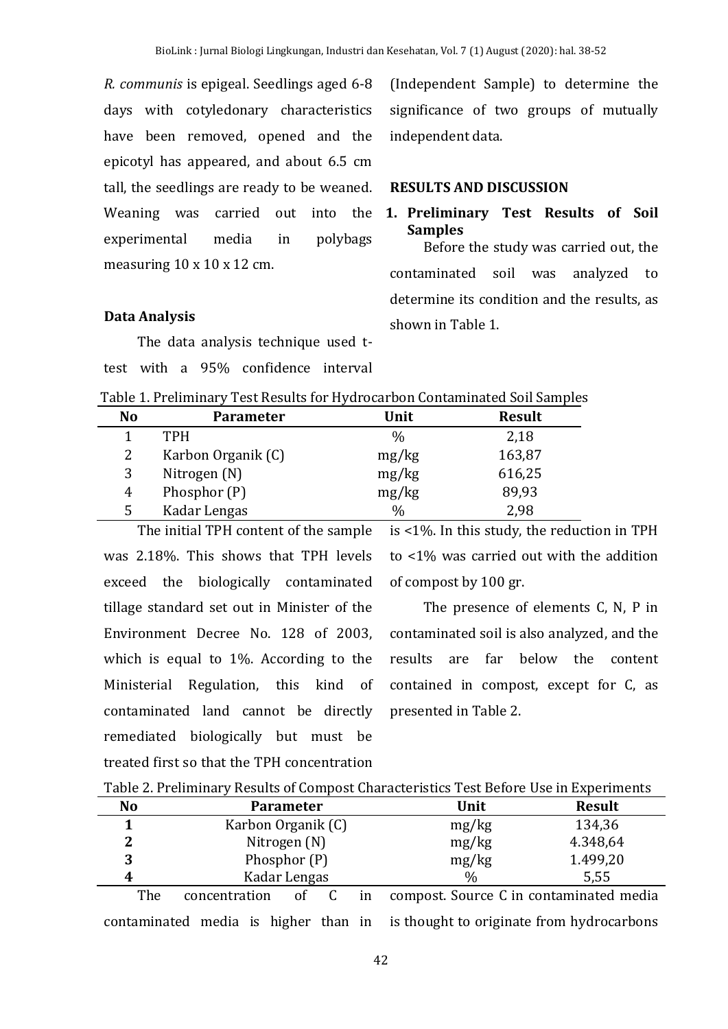*R. communis* is epigeal. Seedlings aged 6-8 days with cotyledonary characteristics have been removed, opened and the epicotyl has appeared, and about 6.5 cm tall, the seedlings are ready to be weaned. Weaning was carried out into the experimental media in polybags measuring 10 x 10 x 12 cm.

# (Independent Sample) to determine the significance of two groups of mutually independent data.

# **RESULTS AND DISCUSSION**

# **1. Preliminary Test Results of Soil Samples**

Before the study was carried out, the contaminated soil was analyzed to determine its condition and the results, as shown in Table 1.

# **Data Analysis**

The data analysis technique used ttest with a 95% confidence interval

| Table 1. Preliminary Test Results for Hydrocarbon Contaminated Soil Samples |  |  |  |
|-----------------------------------------------------------------------------|--|--|--|
|                                                                             |  |  |  |

| No | <b>Parameter</b>   | Unit          | <b>Result</b> |
|----|--------------------|---------------|---------------|
|    | <b>TPH</b>         | $\%$          | 2,18          |
|    | Karbon Organik (C) | mg/kg         | 163,87        |
| 3  | Nitrogen (N)       | mg/kg         | 616,25        |
| 4  | Phosphor (P)       | mg/kg         | 89,93         |
|    | Kadar Lengas       | $\frac{0}{0}$ | 2,98          |

The initial TPH content of the sample was 2.18%. This shows that TPH levels exceed the biologically contaminated tillage standard set out in Minister of the Environment Decree No. 128 of 2003, which is equal to 1%. According to the Ministerial Regulation, this kind of contaminated land cannot be directly remediated biologically but must be treated first so that the TPH concentration

is <1%. In this study, the reduction in TPH to <1% was carried out with the addition of compost by 100 gr.

The presence of elements C, N, P in contaminated soil is also analyzed, and the results are far below the content contained in compost, except for C, as presented in Table 2.

| <b>No</b> |                    | <b>Parameter</b> |  |  | Unit                                    | <b>Result</b> |  |
|-----------|--------------------|------------------|--|--|-----------------------------------------|---------------|--|
|           | Karbon Organik (C) |                  |  |  | mg/kg                                   | 134,36        |  |
|           |                    | Nitrogen (N)     |  |  | mg/kg<br>4.348,64                       |               |  |
| 3         | Phosphor (P)       |                  |  |  | 1.499,20<br>mg/kg                       |               |  |
| 4         | Kadar Lengas       |                  |  |  | $\frac{0}{0}$                           | 5.55          |  |
| The       | concentration      | Ωt               |  |  | compost. Source C in contaminated media |               |  |

contaminated media is higher than in is thought to originate from hydrocarbons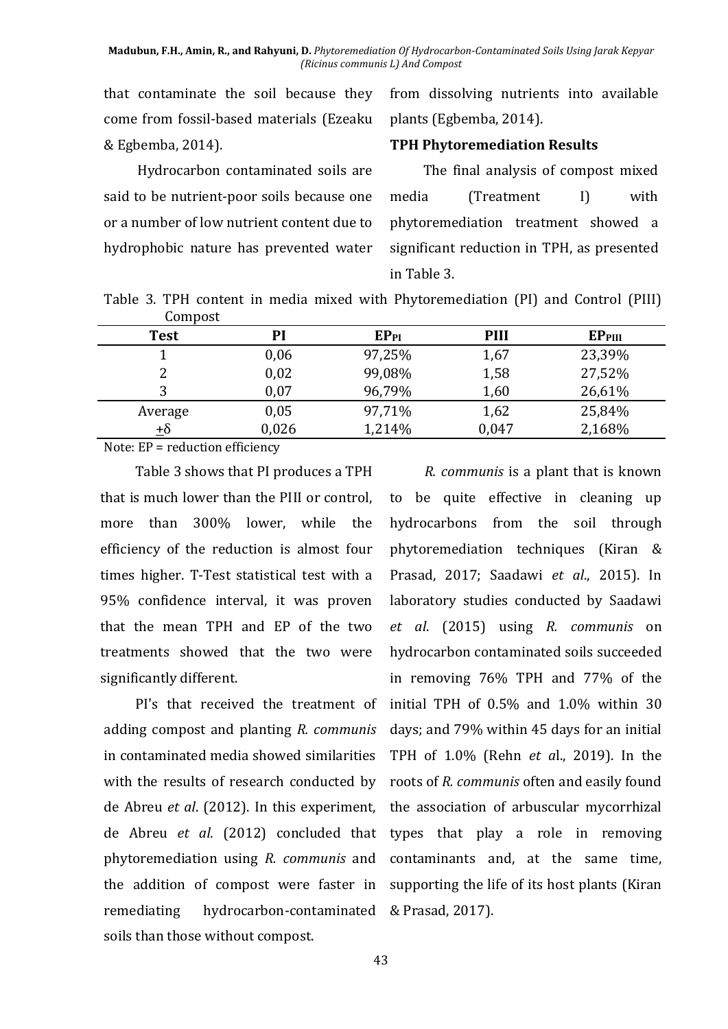that contaminate the soil because they come from fossil-based materials (Ezeaku & Egbemba, 2014).

from dissolving nutrients into available plants (Egbemba, 2014).

### **TPH Phytoremediation Results**

Hydrocarbon contaminated soils are said to be nutrient-poor soils because one or a number of low nutrient content due to hydrophobic nature has prevented water

The final analysis of compost mixed media (Treatment I) with phytoremediation treatment showed a significant reduction in TPH, as presented in Table 3.

Table 3. TPH content in media mixed with Phytoremediation (PI) and Control (PIII) Compost

| -------     |       |                  |       |                    |
|-------------|-------|------------------|-------|--------------------|
| <b>Test</b> | PI    | EP <sub>PI</sub> | PIII  | EP <sub>PIII</sub> |
|             | 0,06  | 97,25%           | 1,67  | 23,39%             |
| 2           | 0,02  | 99,08%           | 1,58  | 27,52%             |
| 3           | 0,07  | 96,79%           | 1,60  | 26,61%             |
| Average     | 0,05  | 97,71%           | 1,62  | 25,84%             |
| $\pm\delta$ | 0,026 | 1,214%           | 0,047 | 2,168%             |
|             |       |                  |       |                    |

Note: EP = reduction efficiency

Table 3 shows that PI produces a TPH that is much lower than the PIII or control, more than 300% lower, while the efficiency of the reduction is almost four times higher. T-Test statistical test with a 95% confidence interval, it was proven that the mean TPH and EP of the two treatments showed that the two were significantly different.

PI's that received the treatment of adding compost and planting *R. communis* in contaminated media showed similarities with the results of research conducted by de Abreu *et al*. (2012). In this experiment, de Abreu *et al.* (2012) concluded that phytoremediation using *R. communis* and the addition of compost were faster in remediating hydrocarbon-contaminated & Prasad, 2017).soils than those without compost.

*R. communis* is a plant that is known to be quite effective in cleaning up hydrocarbons from the soil through phytoremediation techniques (Kiran & Prasad, 2017; Saadawi *et al*., 2015). In laboratory studies conducted by Saadawi *et al*. (2015) using *R. communis* on hydrocarbon contaminated soils succeeded in removing 76% TPH and 77% of the initial TPH of 0.5% and 1.0% within 30 days; and 79% within 45 days for an initial TPH of 1.0% (Rehn *et a*l., 2019). In the roots of *R. communis* often and easily found the association of arbuscular mycorrhizal types that play a role in removing contaminants and, at the same time, supporting the life of its host plants (Kiran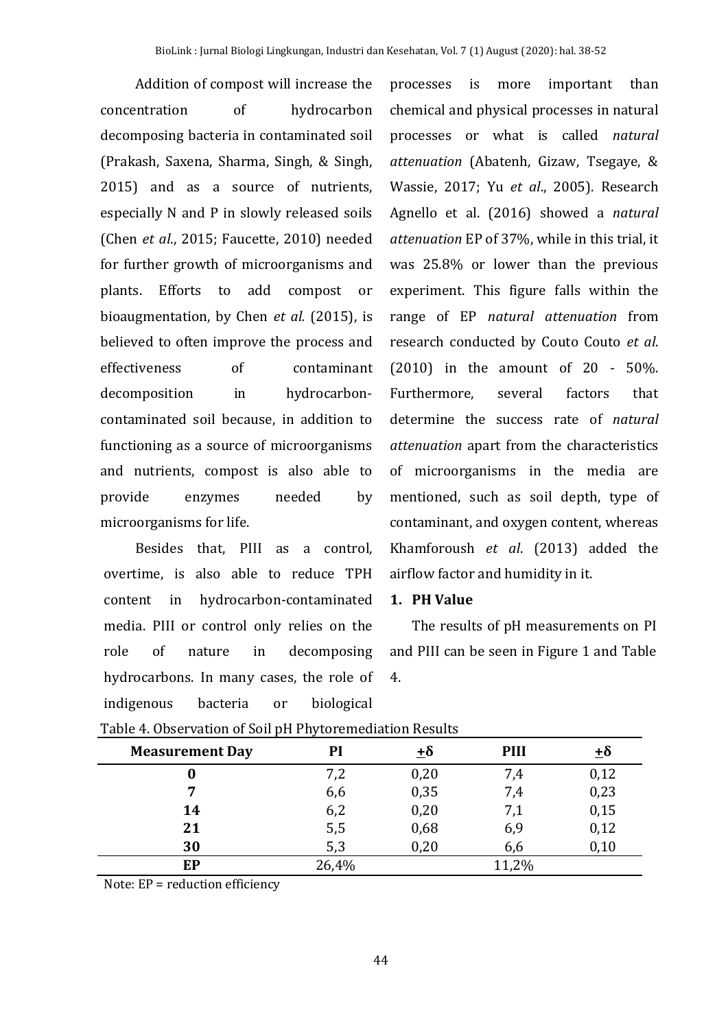Addition of compost will increase the concentration of hydrocarbon decomposing bacteria in contaminated soil (Prakash, Saxena, Sharma, Singh, & Singh, 2015) and as a source of nutrients, especially N and P in slowly released soils (Chen *et al*., 2015; Faucette, 2010) needed for further growth of microorganisms and plants. Efforts to add compost or bioaugmentation, by Chen *et al.* (2015), is believed to often improve the process and effectiveness of contaminant decomposition in hydrocarboncontaminated soil because, in addition to functioning as a source of microorganisms and nutrients, compost is also able to provide enzymes needed by microorganisms for life.

Besides that, PIII as a control, overtime, is also able to reduce TPH content in hydrocarbon-contaminated media. PIII or control only relies on the role of nature in decomposing hydrocarbons. In many cases, the role of indigenous bacteria or biological

processes is more important than chemical and physical processes in natural processes or what is called *natural attenuation* (Abatenh, Gizaw, Tsegaye, & Wassie, 2017; Yu *et al*., 2005). Research Agnello et al. (2016) showed a *natural attenuation* EP of 37%, while in this trial, it was 25.8% or lower than the previous experiment. This figure falls within the range of EP *natural attenuation* from research conducted by Couto Couto *et al*. (2010) in the amount of 20 - 50%. Furthermore, several factors that determine the success rate of *natural attenuation* apart from the characteristics of microorganisms in the media are mentioned, such as soil depth, type of contaminant, and oxygen content, whereas Khamforoush *et al*. (2013) added the airflow factor and humidity in it.

### **1. PH Value**

The results of pH measurements on PI and PIII can be seen in Figure 1 and Table 4.

| <b>Measurement Day</b> | Pl    | $\pm\delta$ | <b>PIII</b> | ±δ   |
|------------------------|-------|-------------|-------------|------|
|                        | 7,2   | 0,20        | 7,4         | 0,12 |
|                        | 6,6   | 0,35        | 7,4         | 0,23 |
| 14                     | 6,2   | 0,20        | 7,1         | 0,15 |
| 21                     | 5,5   | 0,68        | 6,9         | 0,12 |
| 30                     | 5,3   | 0,20        | 6,6         | 0,10 |
| EP                     | 26,4% |             | 11,2%       |      |

|  |  | Table 4. Observation of Soil pH Phytoremediation Results |
|--|--|----------------------------------------------------------|
|--|--|----------------------------------------------------------|

Note: EP = reduction efficiency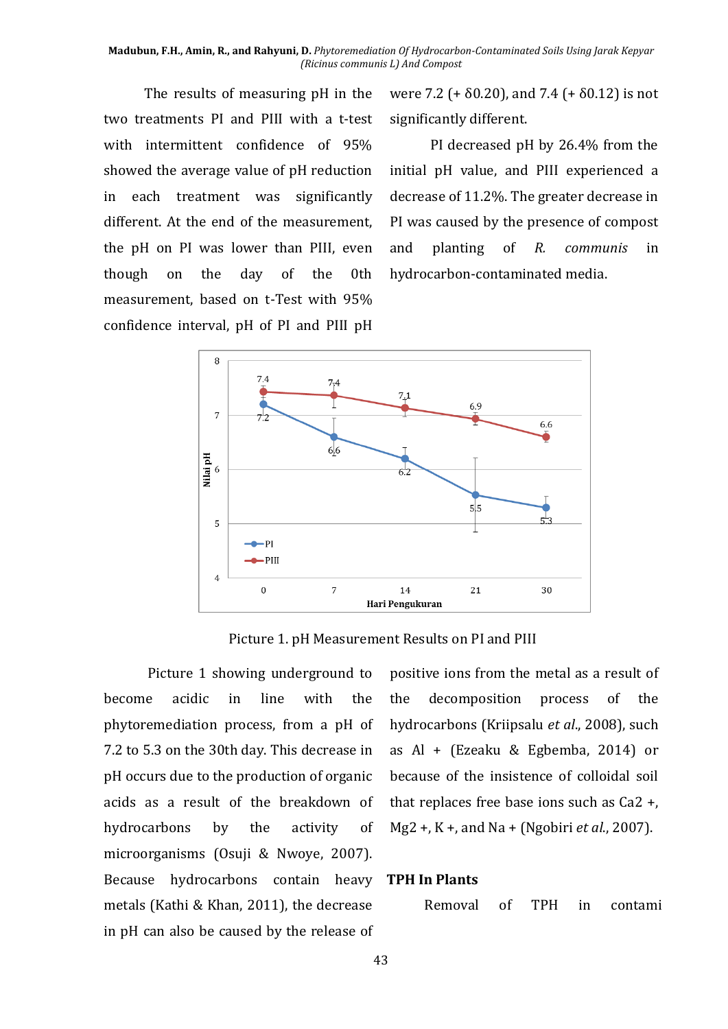The results of measuring pH in the two treatments PI and PIII with a t-test with intermittent confidence of 95% showed the average value of pH reduction in each treatment was significantly different. At the end of the measurement, the pH on PI was lower than PIII, even though on the day of the 0th measurement, based on t-Test with 95% confidence interval, pH of PI and PIII pH were 7.2 (+  $\delta$ 0.20), and 7.4 (+  $\delta$ 0.12) is not significantly different.

PI decreased pH by 26.4% from the initial pH value, and PIII experienced a decrease of 11.2%. The greater decrease in PI was caused by the presence of compost and planting of *R. communis* in hydrocarbon-contaminated media.



Picture 1. pH Measurement Results on PI and PIII

Picture 1 showing underground to become acidic in line with the phytoremediation process, from a pH of 7.2 to 5.3 on the 30th day. This decrease in pH occurs due to the production of organic acids as a result of the breakdown of hydrocarbons by the activity of microorganisms (Osuji & Nwoye, 2007). Because hydrocarbons contain heavy **TPH In Plants** metals (Kathi & Khan, 2011), the decrease in pH can also be caused by the release of

positive ions from the metal as a result of the decomposition process of the hydrocarbons (Kriipsalu *et al*., 2008), such as Al + (Ezeaku & Egbemba, 2014) or because of the insistence of colloidal soil that replaces free base ions such as Ca2 +, Mg2 +, K +, and Na + (Ngobiri *et al*., 2007).

Removal of TPH in contami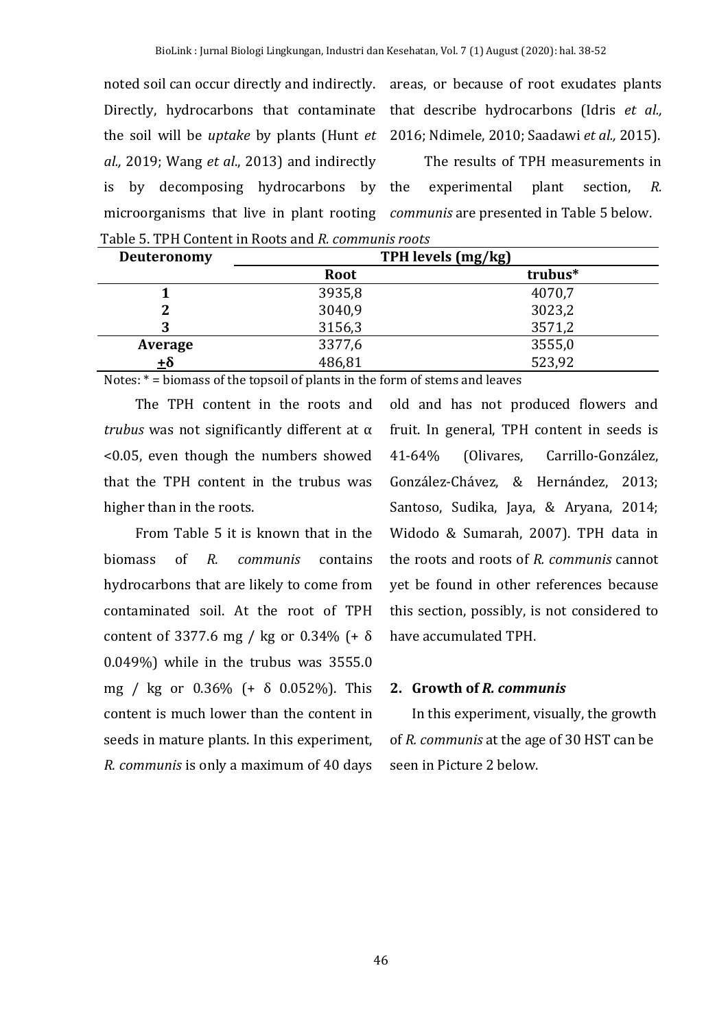noted soil can occur directly and indirectly. areas, or because of root exudates plants Directly, hydrocarbons that contaminate that describe hydrocarbons (Idris *et al.,* the soil will be *uptake* by plants (Hunt *et*  2016; Ndimele, 2010; Saadawi *et al.,* 2015). *al.,* 2019; Wang *et al*., 2013) and indirectly is by decomposing hydrocarbons by microorganisms that live in plant rooting *communis* are presented in Table 5 below.

The results of TPH measurements in experimental plant section, *R.* 

Table 5. TPH Content in Roots and *R. communis roots* **Deuteronomy TPH levels (mg/kg) Root trubus\* 1** 3935,8 4070,7 **2** 3040,9 3023,2 **3** 3156,3 3571,2

**Average** 3377,6 3555,0  $\frac{+8}{-}$  486,81 523,92

Notes: \* = biomass of the topsoil of plants in the form of stems and leaves

The TPH content in the roots and *trubus* was not significantly different at α <0.05, even though the numbers showed that the TPH content in the trubus was higher than in the roots.

From Table 5 it is known that in the biomass of *R. communis* contains hydrocarbons that are likely to come from contaminated soil. At the root of TPH content of 3377.6 mg / kg or 0.34% (+ δ 0.049%) while in the trubus was 3555.0 mg / kg or 0.36% (+ δ 0.052%). This content is much lower than the content in seeds in mature plants. In this experiment, *R. communis* is only a maximum of 40 days

old and has not produced flowers and fruit. In general, TPH content in seeds is 41-64% (Olivares, Carrillo-González, González-Chávez, & Hernández, 2013; Santoso, Sudika, Jaya, & Aryana, 2014; Widodo & Sumarah, 2007). TPH data in the roots and roots of *R. communis* cannot yet be found in other references because this section, possibly, is not considered to have accumulated TPH.

## **2. Growth of** *R. communis*

In this experiment, visually, the growth of *R. communis* at the age of 30 HST can be seen in Picture 2 below.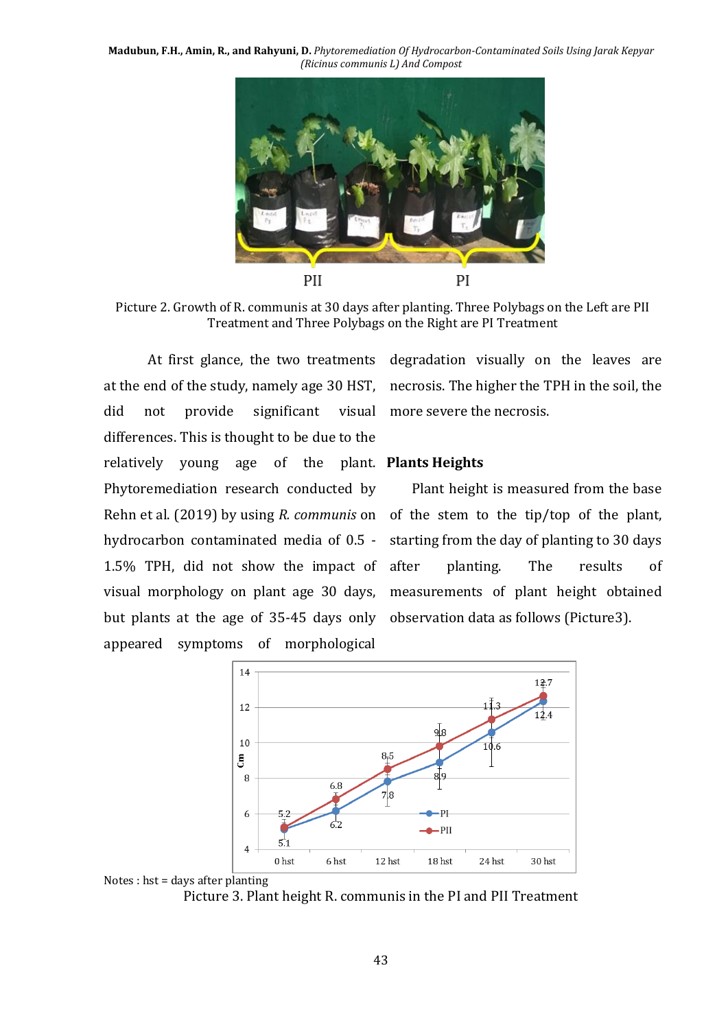

Picture 2. Growth of R. communis at 30 days after planting. Three Polybags on the Left are PII Treatment and Three Polybags on the Right are PI Treatment

did not provide significant differences. This is thought to be due to the relatively young age of the plant. **Plants Heights** Phytoremediation research conducted by hydrocarbon contaminated media of 0.5 - 1.5% TPH, did not show the impact of visual morphology on plant age 30 days, but plants at the age of 35-45 days only observation data as follows (Picture3). appeared symptoms of morphological

At first glance, the two treatments degradation visually on the leaves are at the end of the study, namely age 30 HST, necrosis. The higher the TPH in the soil, the more severe the necrosis.

Rehn et al. (2019) by using *R. communis* on of the stem to the tip/top of the plant, Plant height is measured from the base starting from the day of planting to 30 days planting. The results of measurements of plant height obtained





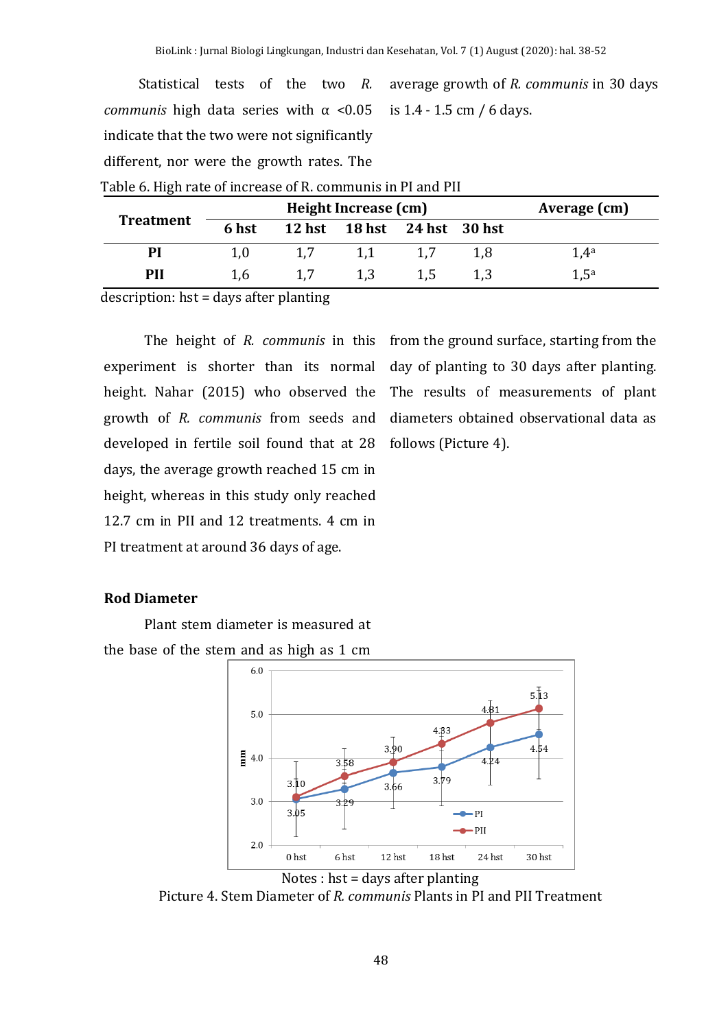Statistical tests of the two *R. communis* high data series with  $\alpha$  <0.05 indicate that the two were not significantly different, nor were the growth rates. The average growth of *R. communis* in 30 days is 1.4 - 1.5 cm / 6 days.

| Table of High Tate of filercase of its communisment rand Fili |       | Height Increase (cm)        |     | Average (cm)     |
|---------------------------------------------------------------|-------|-----------------------------|-----|------------------|
| <b>Treatment</b>                                              | 6 hst | 12 hst 18 hst 24 hst 30 hst |     |                  |
| PI                                                            | 1.0   |                             | 1.8 | 1.4 <sup>a</sup> |
| PH                                                            | 1.6   |                             |     | 1.5 <sup>a</sup> |

Table 6. High rate of increase of R. communis in PI and PII

description: hst = days after planting

experiment is shorter than its normal height. Nahar (2015) who observed the growth of *R. communis* from seeds and developed in fertile soil found that at 28 follows (Picture 4). days, the average growth reached 15 cm in height, whereas in this study only reached 12.7 cm in PII and 12 treatments. 4 cm in PI treatment at around 36 days of age.

The height of *R. communis* in this from the ground surface, starting from the day of planting to 30 days after planting. The results of measurements of plant diameters obtained observational data as

## **Rod Diameter**

Plant stem diameter is measured at the base of the stem and as high as 1 cm





Picture 4. Stem Diameter of *R. communis* Plants in PI and PII Treatment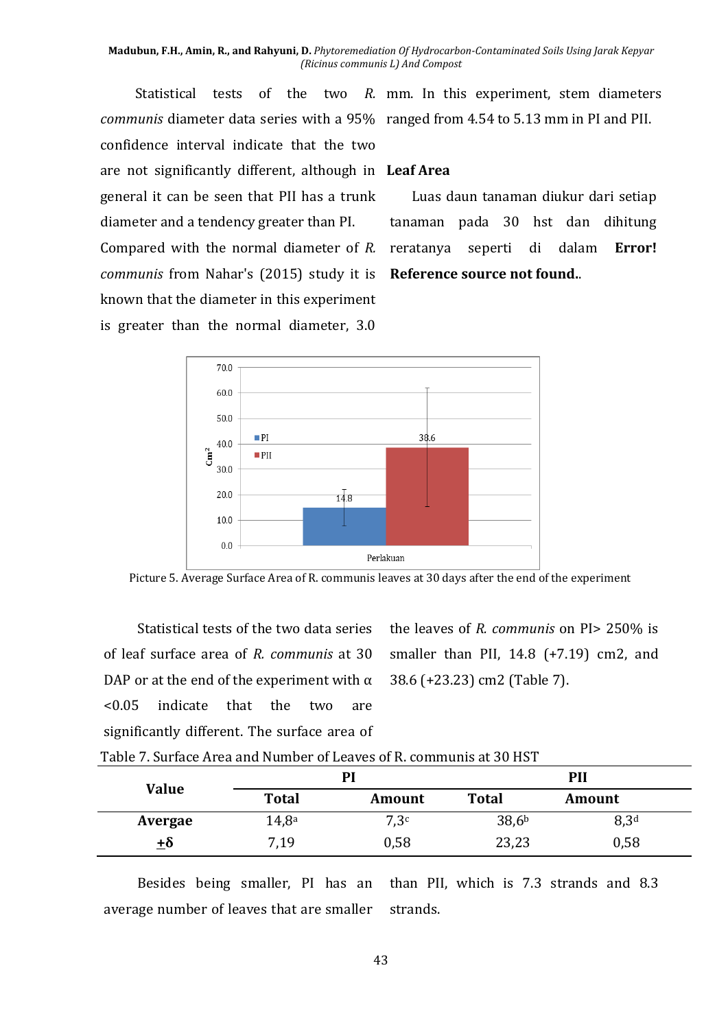*communis* diameter data series with a 95% ranged from 4.54 to 5.13 mm in PI and PII. confidence interval indicate that the two are not significantly different, although in **Leaf Area** general it can be seen that PII has a trunk diameter and a tendency greater than PI. Compared with the normal diameter of *R. communis* from Nahar's (2015) study it is **Reference source not found.**. known that the diameter in this experiment is greater than the normal diameter, 3.0

Statistical tests of the two *R.*  mm. In this experiment, stem diameters

Luas daun tanaman diukur dari setiap tanaman pada 30 hst dan dihitung reratanya seperti di dalam **Error!** 



Picture 5. Average Surface Area of R. communis leaves at 30 days after the end of the experiment

Statistical tests of the two data series of leaf surface area of *R. communis* at 30 DAP or at the end of the experiment with  $\alpha$ <0.05 indicate that the two are significantly different. The surface area of

the leaves of *R. communis* on PI> 250% is smaller than PII,  $14.8$  (+7.19) cm2, and 38.6 (+23.23) cm2 (Table 7).

|  | Table 7. Surface Area and Number of Leaves of R. communis at 30 HST |  |  |
|--|---------------------------------------------------------------------|--|--|
|--|---------------------------------------------------------------------|--|--|

|              |                   | PI            |                   | PII              |  |
|--------------|-------------------|---------------|-------------------|------------------|--|
| <b>Value</b> | <b>Total</b>      | <b>Amount</b> | <b>Total</b>      | Amount           |  |
| Avergae      | 14,8 <sup>a</sup> | 7,3c          | 38,6 <sup>b</sup> | 8,3 <sup>d</sup> |  |
| ±δ           | 7,19              | 0,58          | 23,23             | 0,58             |  |

Besides being smaller, PI has an average number of leaves that are smaller than PII, which is 7.3 strands and 8.3 strands.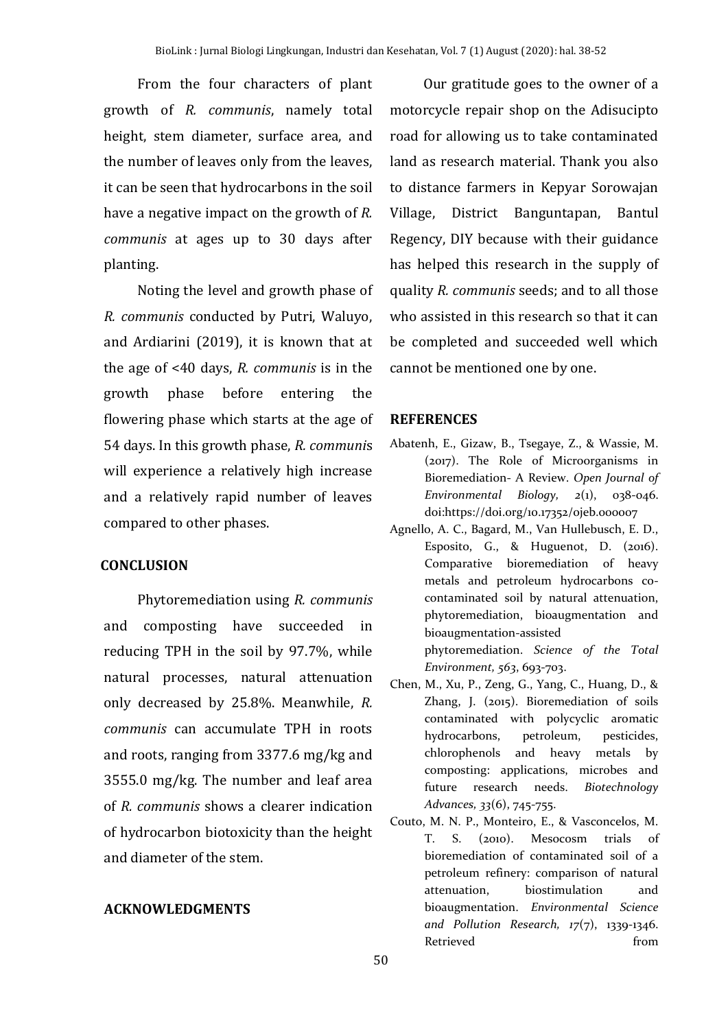From the four characters of plant growth of *R. communis*, namely total height, stem diameter, surface area, and the number of leaves only from the leaves, it can be seen that hydrocarbons in the soil have a negative impact on the growth of *R. communis* at ages up to 30 days after planting.

Noting the level and growth phase of *R. communis* conducted by Putri, Waluyo, and Ardiarini (2019), it is known that at the age of <40 days, *R. communis* is in the growth phase before entering the flowering phase which starts at the age of 54 days. In this growth phase, *R. communi*s will experience a relatively high increase and a relatively rapid number of leaves compared to other phases.

#### **CONCLUSION**

Phytoremediation using *R. communis* and composting have succeeded in reducing TPH in the soil by 97.7%, while natural processes, natural attenuation only decreased by 25.8%. Meanwhile, *R. communis* can accumulate TPH in roots and roots, ranging from 3377.6 mg/kg and 3555.0 mg/kg. The number and leaf area of *R. communis* shows a clearer indication of hydrocarbon biotoxicity than the height and diameter of the stem.

#### **ACKNOWLEDGMENTS**

Our gratitude goes to the owner of a motorcycle repair shop on the Adisucipto road for allowing us to take contaminated land as research material. Thank you also to distance farmers in Kepyar Sorowajan Village, District Banguntapan, Bantul Regency, DIY because with their guidance has helped this research in the supply of quality *R. communis* seeds; and to all those who assisted in this research so that it can be completed and succeeded well which cannot be mentioned one by one.

#### **REFERENCES**

- Abatenh, E., Gizaw, B., Tsegaye, Z., & Wassie, M. (2017). The Role of Microorganisms in Bioremediation- A Review. *Open Journal of Environmental Biology, 2*(1), 038-046. doi:https://doi.org/10.17352/ojeb.000007
- Agnello, A. C., Bagard, M., Van Hullebusch, E. D., Esposito, G., & Huguenot, D. (2016). Comparative bioremediation of heavy metals and petroleum hydrocarbons cocontaminated soil by natural attenuation, phytoremediation, bioaugmentation and bioaugmentation-assisted phytoremediation. *Science of the Total Environment, 563*, 693-703.
- Chen, M., Xu, P., Zeng, G., Yang, C., Huang, D., & Zhang, J. (2015). Bioremediation of soils contaminated with polycyclic aromatic hydrocarbons, petroleum, pesticides, chlorophenols and heavy metals by composting: applications, microbes and future research needs. *Biotechnology Advances, 33*(6), 745-755.
- Couto, M. N. P., Monteiro, E., & Vasconcelos, M. T. S. (2010). Mesocosm trials of bioremediation of contaminated soil of a petroleum refinery: comparison of natural attenuation, biostimulation and bioaugmentation. *Environmental Science and Pollution Research, 17*(7), 1339-1346. Retrieved from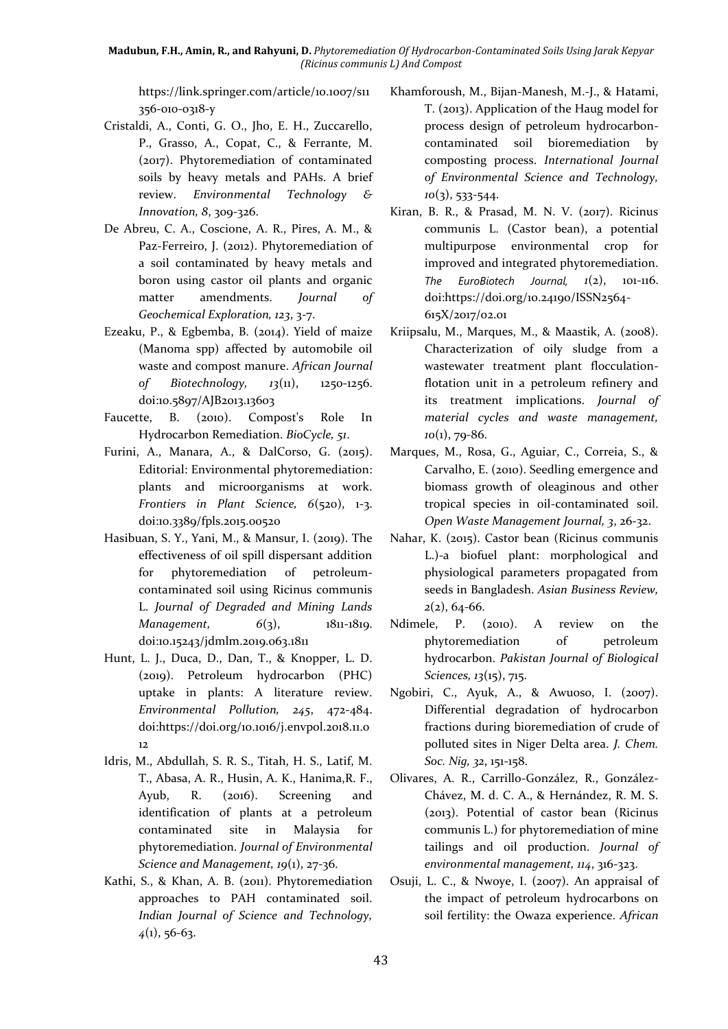https://link.springer.com/article/10.1007/s11 356-010-0318-y

- Cristaldi, A., Conti, G. O., Jho, E. H., Zuccarello, P., Grasso, A., Copat, C., & Ferrante, M. (2017). Phytoremediation of contaminated soils by heavy metals and PAHs. A brief review. *Environmental Technology & Innovation, 8*, 309-326.
- De Abreu, C. A., Coscione, A. R., Pires, A. M., & Paz-Ferreiro, J. (2012). Phytoremediation of a soil contaminated by heavy metals and boron using castor oil plants and organic matter amendments. *Journal of Geochemical Exploration, 123*, 3-7.
- Ezeaku, P., & Egbemba, B. (2014). Yield of maize (Manoma spp) affected by automobile oil waste and compost manure. *African Journal of Biotechnology, 13*(11), 1250-1256. doi:10.5897/AJB2013.13603
- Faucette, B. (2010). Compost's Role In Hydrocarbon Remediation. *BioCycle, 51*.
- Furini, A., Manara, A., & DalCorso, G. (2015). Editorial: Environmental phytoremediation: plants and microorganisms at work. *Frontiers in Plant Science, 6*(520), 1-3. doi:10.3389/fpls.2015.00520
- Hasibuan, S. Y., Yani, M., & Mansur, I. (2019). The effectiveness of oil spill dispersant addition for phytoremediation of petroleumcontaminated soil using Ricinus communis L. *Journal of Degraded and Mining Lands Management,*  $6(3)$ ,  $1811-1819$ . doi:10.15243/jdmlm.2019.063.1811
- Hunt, L. J., Duca, D., Dan, T., & Knopper, L. D. (2019). Petroleum hydrocarbon (PHC) uptake in plants: A literature review. *Environmental Pollution, 245*, 472-484. doi:https://doi.org/10.1016/j.envpol.2018.11.0 12
- Idris, M., Abdullah, S. R. S., Titah, H. S., Latif, M. T., Abasa, A. R., Husin, A. K., Hanima,R. F., Ayub, R. (2016). Screening and identification of plants at a petroleum contaminated site in Malaysia for phytoremediation. *Journal of Environmental Science and Management, 19*(1), 27-36.
- Kathi, S., & Khan, A. B. (2011). Phytoremediation approaches to PAH contaminated soil. *Indian Journal of Science and Technology, 4*(1), 56-63.
- Khamforoush, M., Bijan-Manesh, M.-J., & Hatami, T. (2013). Application of the Haug model for process design of petroleum hydrocarboncontaminated soil bioremediation by composting process. *International Journal of Environmental Science and Technology, 10*(3), 533-544.
- Kiran, B. R., & Prasad, M. N. V. (2017). Ricinus communis L. (Castor bean), a potential multipurpose environmental crop for improved and integrated phytoremediation. *The EuroBiotech Journal,*  $1(2)$ *, 101-116.* doi:https://doi.org/10.24190/ISSN2564- 615X/2017/02.01
- Kriipsalu, M., Marques, M., & Maastik, A. (2008). Characterization of oily sludge from a wastewater treatment plant flocculationflotation unit in a petroleum refinery and its treatment implications. *Journal of material cycles and waste management, 10*(1), 79-86.
- Marques, M., Rosa, G., Aguiar, C., Correia, S., & Carvalho, E. (2010). Seedling emergence and biomass growth of oleaginous and other tropical species in oil-contaminated soil. *Open Waste Management Journal, 3*, 26-32.
- Nahar, K. (2015). Castor bean (Ricinus communis L.)-a biofuel plant: morphological and physiological parameters propagated from seeds in Bangladesh. *Asian Business Review, 2*(2), 64-66.
- Ndimele, P. (2010). A review on the phytoremediation of petroleum hydrocarbon. *Pakistan Journal of Biological Sciences, 13*(15), 715.
- Ngobiri, C., Ayuk, A., & Awuoso, I. (2007). Differential degradation of hydrocarbon fractions during bioremediation of crude of polluted sites in Niger Delta area. *J. Chem. Soc. Nig, 32*, 151-158.
- Olivares, A. R., Carrillo-González, R., González-Chávez, M. d. C. A., & Hernández, R. M. S. (2013). Potential of castor bean (Ricinus communis L.) for phytoremediation of mine tailings and oil production. *Journal of environmental management, 114*, 316-323.
- Osuji, L. C., & Nwoye, I. (2007). An appraisal of the impact of petroleum hydrocarbons on soil fertility: the Owaza experience. *African*